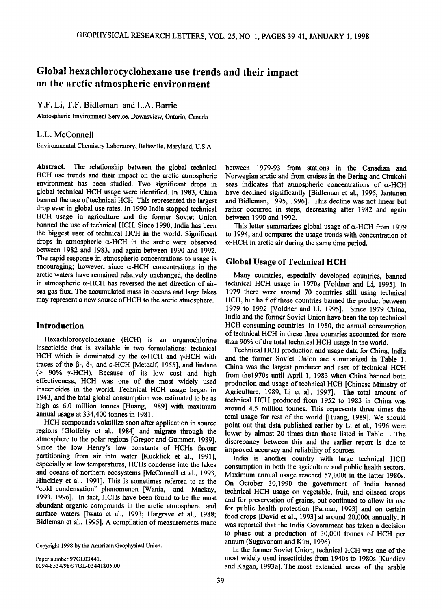# **Global hexachlorocyclohexane use trends and their impact on the arctic atmospheric environment**

## **Y.F. Li, T.F. Bidleman and L.A. Barrie**

**Atmospheric Environment Service, Downsview, Ontario, Canada** 

### **L.L. McConnell**

**Environmental Chemistry Laboratory, Beltsville, Maryland, U.S.A** 

**Abstract. The relationship between the global technical HCH use trends and their impact on the arctic atmospheric environment has been studied. Two significant drops in global technical HCH usage were identified. In 1983, China banned the use of technical HCH. This represented the largest drop ever in global use rates. In 1990 India stopped technical HCH usage in agriculture and the former Soviet Union banned the use of technical HCH. Since 1990, India has been the biggest user of technical HCH in the world. Significant**  drops in atmospheric  $\alpha$ -HCH in the arctic were observed **between 1982 and 1983, and again between 1990 and 1992. The rapid response in atmospheric concentrations to usage is**  encouraging; however, since  $\alpha$ -HCH concentrations in the **arctic waters have remained relatively unchanged, the decline**  in atmospheric  $\alpha$ -HCH has reversed the net direction of air**sea gas flux. The accumulated mass in oceans and large lakes**  may represent a new source of HCH to the arctic atmosphere.

## **Introduction**

**Hexachlorocyclohexane (HCH) is an organochlorine insecticide that is available in two formulations: technical**  HCH which is dominated by the  $\alpha$ -HCH and  $\gamma$ -HCH with **traces of the [•-, b-, and •-HCH [Metcalf, 1955], and lindane (> 90% ¾-HCH). Because of its low cost and high effectiveness, HCH was one of the most widely used insecticides in the world. Technical HCH usage began in 1943, and the total global consumption was estimated to be as high as 6.0 million tonnes [Huang, 1989] with maximum annual usage at 334,400 tonnes in 1981.** 

**HCH compounds volatilize soon after application in source regions [Glotfelty et al., 1984] and migrate through the**  atmosphere to the polar regions [Gregor and Gummer, 1989]. **Since the low Henry's law constants of HCHs favour partitioning from air into water [Kucklick et al., 1991], especially at low temperatures, HCHs condense into the lakes and oceans of northern ecosystems [McConnell et al., 1993, Hinckley et al., 1991]. This is sometimes referred to as the "cold condensation" phenomenon [Wania, and Mackay, 1993, 1996]. In fact, HCHs have been found to be the most abundant organic compounds in the arctic atmosphere and surface waters [Iwata et al., 1993; Hargrave et al., 1988; Bidleman et al., 1995]. A compilation of measurements made** 

**Paper number 97GL03441. 0094-8534/98/97GL-03441505.00**  **between 1979-93 from stations in the Canadian and Norwegian arctic and from cruises in the Bering and Chukchi**  seas indicates that atmospheric concentrations of  $\alpha$ -HCH **have declined significantly [Bidleman et al., 1995, Jantunen and Bidleman, 1995, 1996]. This decline was not linear but rather occurred in steps, decreasing after 1982 and again between 1990 and 1992.** 

This letter summarizes global usage of α-HCH from 1979 **to 1994, and compares the usage trends with concentration of**   $\alpha$ -HCH in arctic air during the same time period.

#### **Global Usage of Technical HCH**

**Many countries, especially developed countries, banned technical HCH usage in 1970s [Voldner and Li, 1995]. In 1979 there were around 70 countries still using technical HCH, but half of these countries banned the product between 1979 to 1992 [Voldner and Li, 1995]. Since 1979 China, India and the former Soviet Union have been the top technical HCH consuming countries. In1980, the annual consumption of technical HCH in these three countries accounted for more than 90% of the total technical HCH usage in the world.** 

**Technical HCH production and usage data for China, India and the former Soviet Union are summarized in Table 1. China was the largest producer and user of technical HCH from the1970s until April 1, 1983 when China banned both production and usage of technical HCH [Chinese Ministry of Agriculture, 1989, Li et al., 1997]. The total amount of technical HCH produced from 1952 to 1983 in China was around 4.5 million tonnes. This represents three times the total usage for rest of the world [Huang, 1989]. We should point out that data published earlier by Li et al., 1996 were lower by almost 20 times than those listed in Table 1. The discrepancy between this and the earlier report is due to improved accuracy and reliability of sources.** 

**India is another country with large technical HCH consumption in both the agriculture and public health sectors. Maximum annual usage reached 57,000t in the latter 1980s. On October 30,1990 the government of India banned technical HCH usage on vegetable, fruit, and oilseed crops and for preservation of grains, but continued to allow its use for public health protection [Parmar, 1993] and on certain food crops [David et al., 1993] at around 20,000t annually. It was reported that the India Government has taken a decision to phase out a production of 30,000 tonnes of HCH per annum (Sugavanam and Kim, 1996).** 

**In the former Soviet Union, technical HCH was one of the most widely used insecticides from 1940s to 1980s [Kundiev and Kagan, 1993a]. The most extended areas of the arable** 

**Copyright 1998 by the American Geophysical Union.**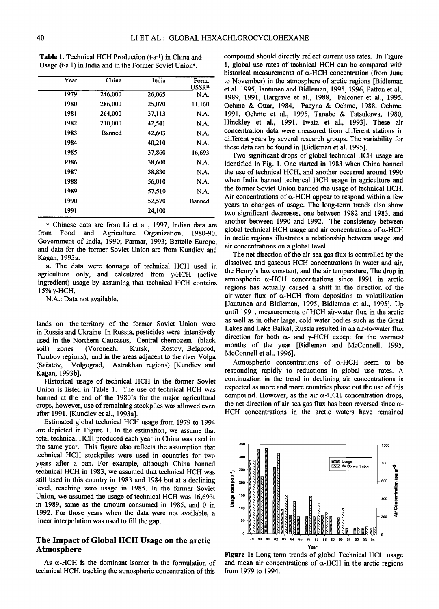| Year | China   | India  | Form.<br><b>USSRa</b> |
|------|---------|--------|-----------------------|
| 1979 | 246,000 | 26,065 | N.A.                  |
| 1980 | 286,000 | 25,070 | 11,160                |
| 1981 | 264,000 | 37,113 | N.A.                  |
| 1982 | 210,000 | 42,541 | N.A.                  |
| 1983 | Banned  | 42,603 | N.A.                  |
| 1984 |         | 40,210 | N.A.                  |
| 1985 |         | 37,860 | 16,693                |
| 1986 |         | 38,600 | N.A.                  |
| 1987 |         | 38,830 | N.A.                  |
| 1988 |         | 56,010 | N.A.                  |
| 1989 |         | 57,510 | N.A.                  |
| 1990 |         | 52,570 | <b>Banned</b>         |
| 1991 |         | 24,100 |                       |
|      |         |        |                       |

**Table 1. Technical HCH Production (t.a-1) in China and Usage (t.a-1) in India and in the Former Soviet Union\*.** 

**\* Chinese data are from Li et al., 1997, Indian data are from Food and Agriculture Organization, 1980-90; Government of India, 1990; Parmar, 1993; Battelle Europe, and data for the former Soviet Union are from Kundiev and Kagan, 1993a.** 

**a. The data were tonnage of technical HCH used in agriculture only, and calculated from ¾-HCH (active ingredient) usage by assuming that technical HCH contains 15% ¾-HCH.** 

**N.A.' Data not available.** 

**lands on the territory of the former Soviet Union were in Russia and Ukraine. In Russia, pesticides were intensively used in the Northern Caucasus, Central chernozem (black**  Rostov, Belgorod, Tambov regions), and in the areas adjacent to the river Volga **(Sa•atoy, Volgograd, Astrakhan regions) [Kundiev and Kagan**, 1993b].

**Historical usage of technical HCH in the former Soviet Union is listed in Table 1. The use of technical HCH was banned at the end of the 1980's for the major agricultural crops, however, use of remaining stockpiles was allowed even after 1991. [Kundiev et al., 1993a].** 

**Estimated global technical HCH usage from 1979 to 1994 are depicted in Figure 1. In the estimation, we assume that total technical HCH produced each year in China was used in the same year. This figure also reflects the assumption that technical HCH stockpiles were used in countries for two**  years after a ban. For example, although China banned **technical HCH in 1983, we assumed that technical HCH was**  still used in this country in 1983 and 1984 but at a declining **16vel, reaching zero usage in 1985. In the former Soviet Union, we assumed the usage of technical HCH was 16,693t in 1989, same as the amount consumed in 1985, and 0 in 1992. For those years when the data were not available, a linear interpolation was used to fill the gap.** 

## **The Impact of Global HCH Usage on the arctic Atmosphere**

As  $\alpha$ -HCH is the dominant isomer in the formulation of technical HCH, tracking the atmospheric concentration of this

**compound should directly reflect current use rates. In Figure 1, global use rates of technical HCH can be compared with**  historical measurements of  $\alpha$ -HCH concentration (from June **to November) in the atmosphere of arctic regions [Bidleman et al. 1995, Jantunen and Bidleman, 1995, 1996, Patton et al., 1989, 1991, Hargrave et al., 1988, Falconer et al., 1995, Oehme & Ottar, 1984, Pacyna & Oehme, 1988, Oehme, 1991, Oehme et al., 1995, Tanabe & Tatsukawa, 1980, Hinckley et al., 1991, Iwata et al., 1993]. These air concentration data were measured from different stations in different years by several research groups. The variability for these data can be found in [Bidleman et al. 1995].** 

**Two significant drops of global technical HCH usage are identified in Fig. 1. One started in 1983 when China banned the use of technical HCH, and another occurred around 1990 when India banned technical HCH usage in agriculture and the former Soviet Union banned the usage of technical HCH.**  Air concentrations of  $\alpha$ -HCH appear to respond within a few **years to changes of usage. The long-term trends also show two significant decreases, one between 1982 and 1983, and another between 1990 and 1992. The consistency between**  global technical HCH usage and air concentrations of  $\alpha$ -HCH **in arctic regions illustrates a relationship between usage and air concentrations on a global level.** 

**The net direction of the air-sea gas flux is controlled by the dissolved and gaseous HCH concentrations in water and air, the Henry's law constant, and the air temperature. The drop in atmospheric ct-HCH concentrations since 1991 in arctic regions has actually caused a shift in the direction of the**  air-water flux of  $\alpha$ -HCH from deposition to volatilization **[Jautunen and Bidleman, 1995, Bidleman et al., 1995]. Up until 1991, measurements of HCH air-water flux in the arctic as well as in other large, cold water bodies such as the Great Lakes and Lake Baikal, Russia resulted in an air-to-water flux**  direction for both  $\alpha$ - and  $\gamma$ -HCH except for the warmest **months of the year [Bidleman and McConnell, 1995, McConnell et al., 1996].** 

Atmospheric concentrations of  $\alpha$ -HCH seem to be **responding rapidly to reductions in global use rates. A continuation in the trend in declining air concentrations is expected as more and more countries phase out the use of this**  compound. However, as the air  $\alpha$ -HCH concentration drops, the net direction of air-sea gas flux has been reversed since  $\alpha$ -**HCH concentrations in the arctic waters have remained** 



**Figure l' Long-term trends of global Technical HCH usage**  and mean air concentrations of  $\alpha$ -HCH in the arctic regions **from 1979 to 1994.**